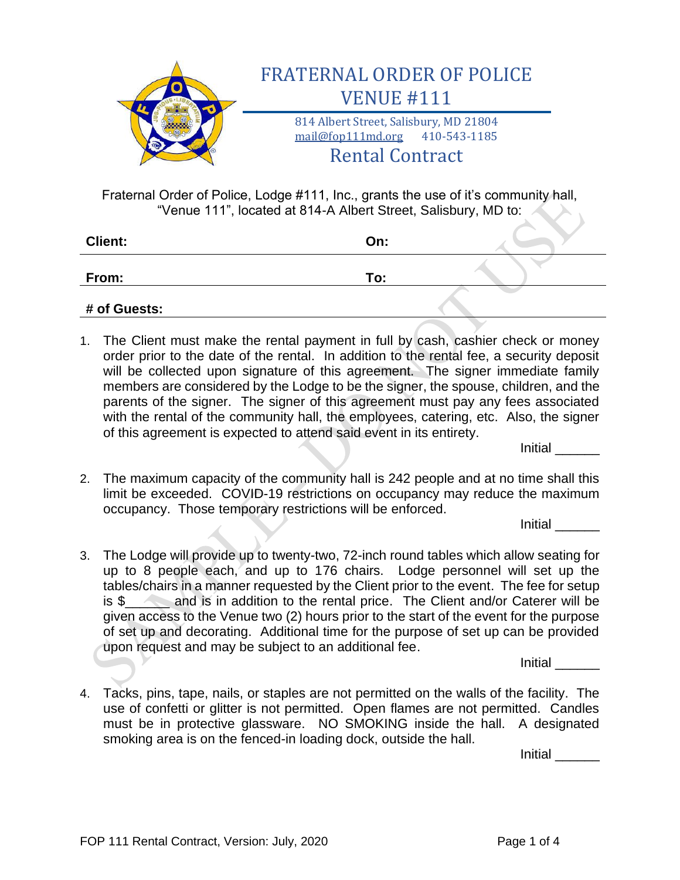

Fraternal Order of Police, Lodge #111, Inc., grants the use of it's community hall, "Venue 111", located at 814-A Albert Street, Salisbury, MD to:

| <b>Client:</b> | On: |  |  |
|----------------|-----|--|--|
| From:          | To: |  |  |
| # of Guests:   |     |  |  |

1. The Client must make the rental payment in full by cash, cashier check or money order prior to the date of the rental. In addition to the rental fee, a security deposit will be collected upon signature of this agreement. The signer immediate family members are considered by the Lodge to be the signer, the spouse, children, and the parents of the signer. The signer of this agreement must pay any fees associated with the rental of the community hall, the employees, catering, etc. Also, the signer of this agreement is expected to attend said event in its entirety.

Initial \_\_\_\_\_\_

2. The maximum capacity of the community hall is 242 people and at no time shall this limit be exceeded. COVID-19 restrictions on occupancy may reduce the maximum occupancy. Those temporary restrictions will be enforced.

Initial \_\_\_\_\_\_

3. The Lodge will provide up to twenty-two, 72-inch round tables which allow seating for up to 8 people each, and up to 176 chairs. Lodge personnel will set up the tables/chairs in a manner requested by the Client prior to the event. The fee for setup is \$ and is in addition to the rental price. The Client and/or Caterer will be given access to the Venue two (2) hours prior to the start of the event for the purpose of set up and decorating. Additional time for the purpose of set up can be provided upon request and may be subject to an additional fee.

Initial \_\_\_\_\_\_

4. Tacks, pins, tape, nails, or staples are not permitted on the walls of the facility. The use of confetti or glitter is not permitted. Open flames are not permitted. Candles must be in protective glassware. NO SMOKING inside the hall. A designated smoking area is on the fenced-in loading dock, outside the hall.

Initial \_\_\_\_\_\_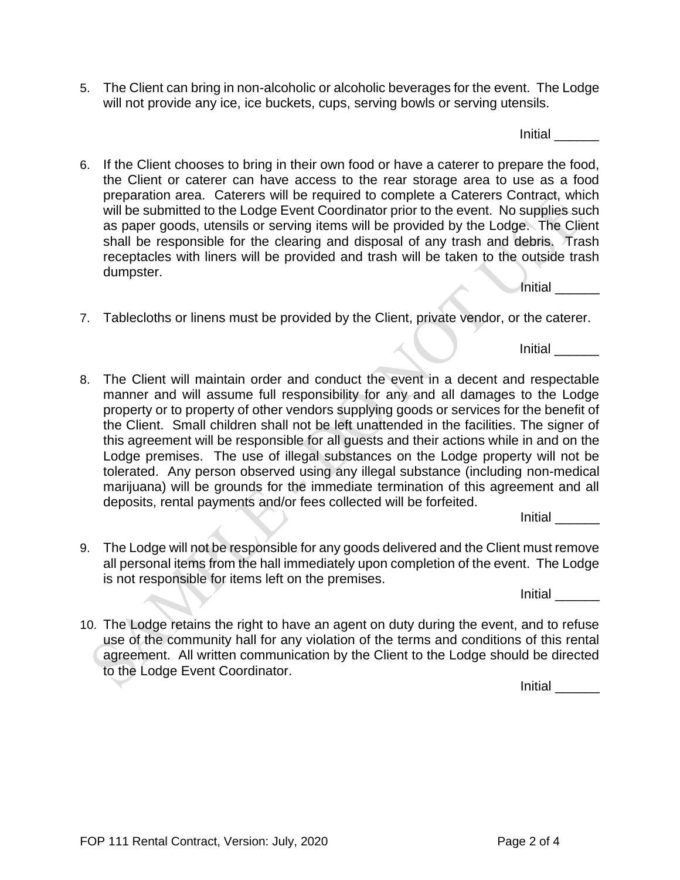5. The Client can bring in non-alcoholic or alcoholic beverages for the event. The Lodge will not provide any ice, ice buckets, cups, serving bowls or serving utensils.

Initial \_\_\_\_\_\_

- 6. If the Client chooses to bring in their own food or have a caterer to prepare the food, the Client or caterer can have access to the rear storage area to use as a food preparation area. Caterers will be required to complete a Caterers Contract, which will be submitted to the Lodge Event Coordinator prior to the event. No supplies such as paper goods, utensils or serving items will be provided by the Lodge. The Client shall be responsible for the clearing and disposal of any trash and debris. Trash receptacles with liners will be provided and trash will be taken to the outside trash dumpster. Initial \_\_\_\_\_\_
- 7. Tablecloths or linens must be provided by the Client, private vendor, or the caterer.

Initial \_\_\_\_\_\_

8. The Client will maintain order and conduct the event in a decent and respectable manner and will assume full responsibility for any and all damages to the Lodge property or to property of other vendors supplying goods or services for the benefit of the Client. Small children shall not be left unattended in the facilities. The signer of this agreement will be responsible for all guests and their actions while in and on the Lodge premises. The use of illegal substances on the Lodge property will not be tolerated. Any person observed using any illegal substance (including non-medical marijuana) will be grounds for the immediate termination of this agreement and all deposits, rental payments and/or fees collected will be forfeited.

Initial \_\_\_\_\_\_

9. The Lodge will not be responsible for any goods delivered and the Client must remove all personal items from the hall immediately upon completion of the event. The Lodge is not responsible for items left on the premises.

Initial \_\_\_\_\_\_

10. The Lodge retains the right to have an agent on duty during the event, and to refuse use of the community hall for any violation of the terms and conditions of this rental agreement. All written communication by the Client to the Lodge should be directed to the Lodge Event Coordinator.

Initial \_\_\_\_\_\_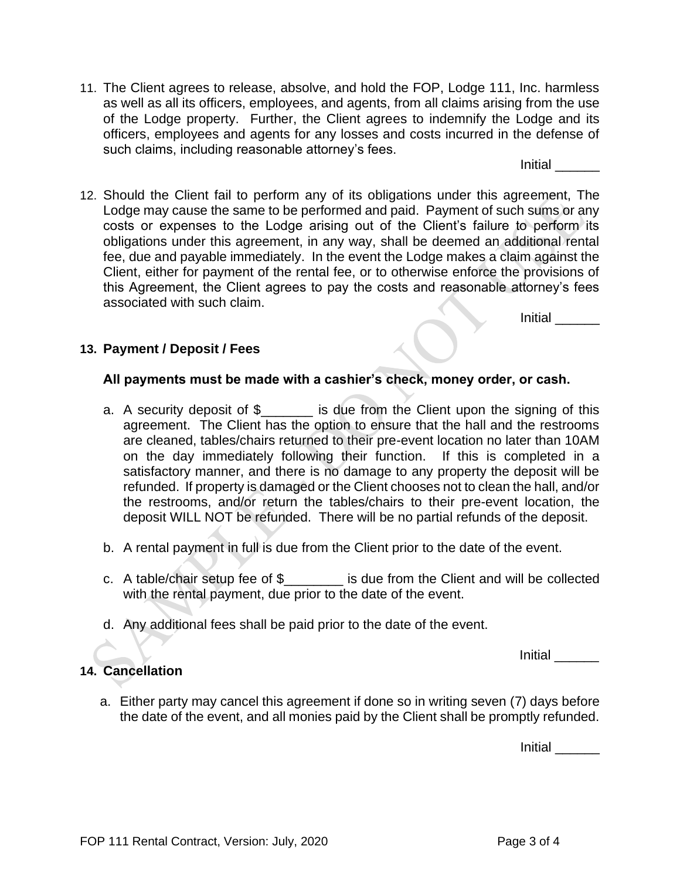Initial \_\_\_\_\_\_

12. Should the Client fail to perform any of its obligations under this agreement, The Lodge may cause the same to be performed and paid. Payment of such sums or any costs or expenses to the Lodge arising out of the Client's failure to perform its obligations under this agreement, in any way, shall be deemed an additional rental fee, due and payable immediately. In the event the Lodge makes a claim against the Client, either for payment of the rental fee, or to otherwise enforce the provisions of this Agreement, the Client agrees to pay the costs and reasonable attorney's fees associated with such claim.

Initial \_\_\_\_\_\_

## **13. Payment / Deposit / Fees**

## **All payments must be made with a cashier's check, money order, or cash.**

- a. A security deposit of \$\_\_\_\_\_\_\_ is due from the Client upon the signing of this agreement. The Client has the option to ensure that the hall and the restrooms are cleaned, tables/chairs returned to their pre-event location no later than 10AM on the day immediately following their function. If this is completed in a satisfactory manner, and there is no damage to any property the deposit will be refunded. If property is damaged or the Client chooses not to clean the hall, and/or the restrooms, and/or return the tables/chairs to their pre-event location, the deposit WILL NOT be refunded. There will be no partial refunds of the deposit.
- b. A rental payment in full is due from the Client prior to the date of the event.
- c. A table/chair setup fee of \$\_\_\_\_\_\_\_\_ is due from the Client and will be collected with the rental payment, due prior to the date of the event.
- d. Any additional fees shall be paid prior to the date of the event.

Initial \_\_\_\_\_\_

## **14. Cancellation**

a. Either party may cancel this agreement if done so in writing seven (7) days before the date of the event, and all monies paid by the Client shall be promptly refunded.

Initial \_\_\_\_\_\_